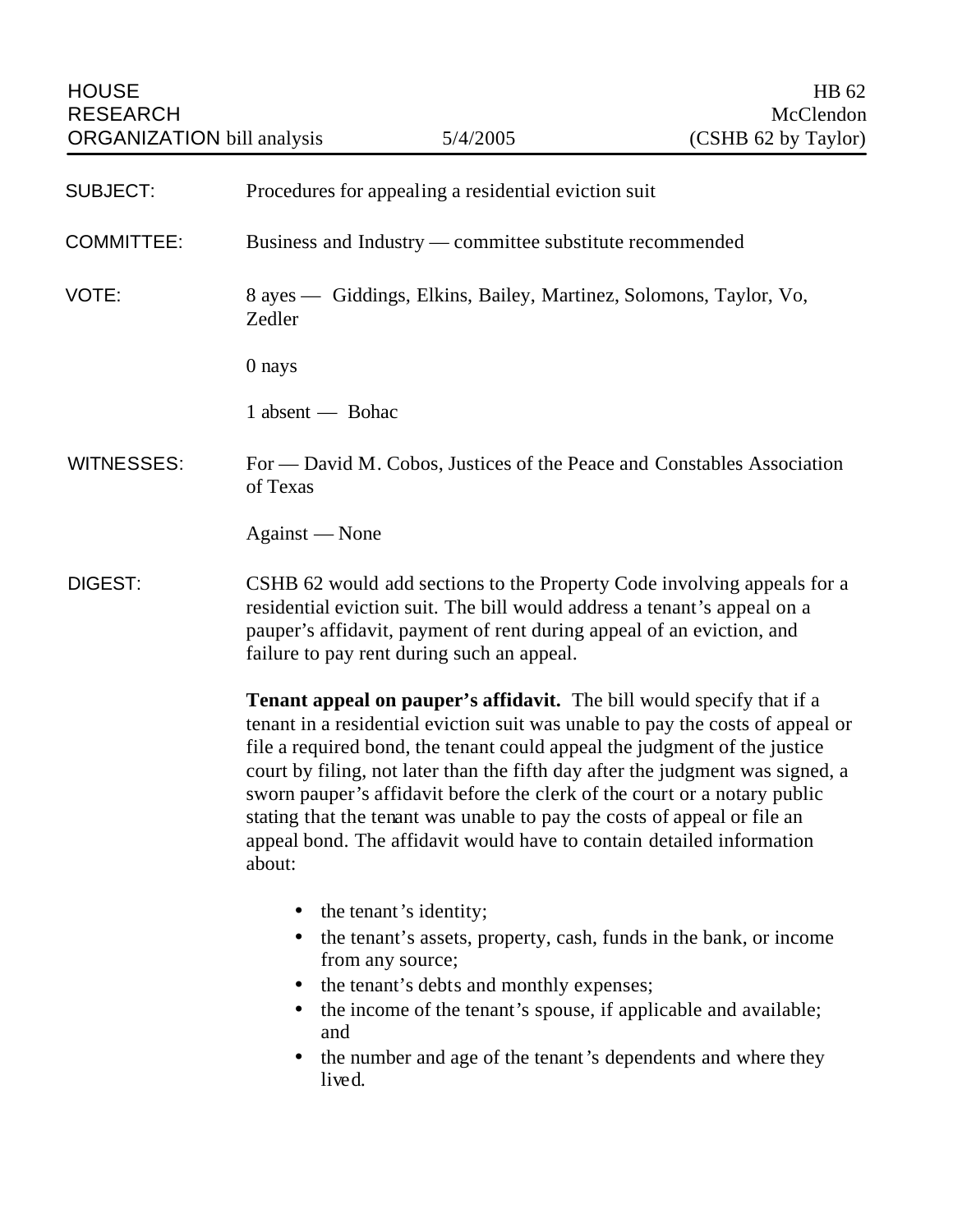| <b>HOUSE</b><br><b>RESEARCH</b><br><b>ORGANIZATION</b> bill analysis |                                                          | 5/4/2005                                             | HB 62<br>McClendon<br>(CSHB 62 by Taylor)                                                                                                                                                                                    |
|----------------------------------------------------------------------|----------------------------------------------------------|------------------------------------------------------|------------------------------------------------------------------------------------------------------------------------------------------------------------------------------------------------------------------------------|
| <b>SUBJECT:</b>                                                      |                                                          | Procedures for appealing a residential eviction suit |                                                                                                                                                                                                                              |
| <b>COMMITTEE:</b>                                                    | Business and Industry — committee substitute recommended |                                                      |                                                                                                                                                                                                                              |
| VOTE:                                                                | Zedler                                                   |                                                      | 8 ayes — Giddings, Elkins, Bailey, Martinez, Solomons, Taylor, Vo,                                                                                                                                                           |
|                                                                      | 0 nays                                                   |                                                      |                                                                                                                                                                                                                              |
|                                                                      | 1 absent — Bohac                                         |                                                      |                                                                                                                                                                                                                              |
| <b>WITNESSES:</b>                                                    | of Texas                                                 |                                                      | For — David M. Cobos, Justices of the Peace and Constables Association                                                                                                                                                       |
|                                                                      | Against — None                                           |                                                      |                                                                                                                                                                                                                              |
| DIGEST:                                                              |                                                          | failure to pay rent during such an appeal.           | CSHB 62 would add sections to the Property Code involving appeals for a<br>residential eviction suit. The bill would address a tenant's appeal on a<br>pauper's affidavit, payment of rent during appeal of an eviction, and |

**Tenant appeal on pauper's affidavit.** The bill would specify that if a tenant in a residential eviction suit was unable to pay the costs of appeal or file a required bond, the tenant could appeal the judgment of the justice court by filing, not later than the fifth day after the judgment was signed, a sworn pauper's affidavit before the clerk of the court or a notary public stating that the tenant was unable to pay the costs of appeal or file an appeal bond. The affidavit would have to contain detailed information about:

- the tenant's identity;
- the tenant's assets, property, cash, funds in the bank, or income from any source;
- the tenant's debts and monthly expenses;
- the income of the tenant's spouse, if applicable and available; and
- the number and age of the tenant's dependents and where they lived.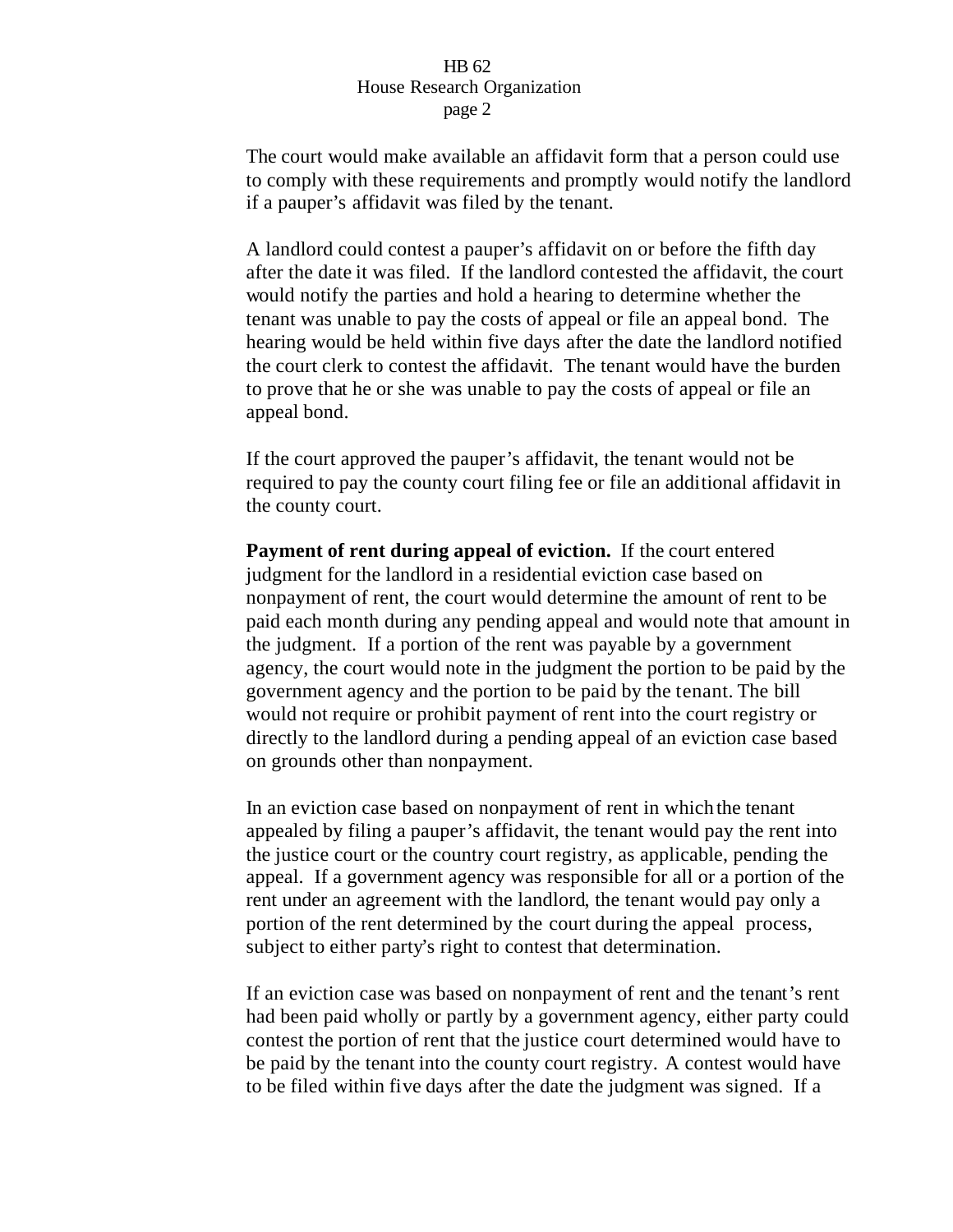The court would make available an affidavit form that a person could use to comply with these requirements and promptly would notify the landlord if a pauper's affidavit was filed by the tenant.

A landlord could contest a pauper's affidavit on or before the fifth day after the date it was filed. If the landlord contested the affidavit, the court would notify the parties and hold a hearing to determine whether the tenant was unable to pay the costs of appeal or file an appeal bond. The hearing would be held within five days after the date the landlord notified the court clerk to contest the affidavit. The tenant would have the burden to prove that he or she was unable to pay the costs of appeal or file an appeal bond.

If the court approved the pauper's affidavit, the tenant would not be required to pay the county court filing fee or file an additional affidavit in the county court.

**Payment of rent during appeal of eviction.** If the court entered judgment for the landlord in a residential eviction case based on nonpayment of rent, the court would determine the amount of rent to be paid each month during any pending appeal and would note that amount in the judgment. If a portion of the rent was payable by a government agency, the court would note in the judgment the portion to be paid by the government agency and the portion to be paid by the tenant. The bill would not require or prohibit payment of rent into the court registry or directly to the landlord during a pending appeal of an eviction case based on grounds other than nonpayment.

In an eviction case based on nonpayment of rent in which the tenant appealed by filing a pauper's affidavit, the tenant would pay the rent into the justice court or the country court registry, as applicable, pending the appeal. If a government agency was responsible for all or a portion of the rent under an agreement with the landlord, the tenant would pay only a portion of the rent determined by the court during the appeal process, subject to either party's right to contest that determination.

If an eviction case was based on nonpayment of rent and the tenant's rent had been paid wholly or partly by a government agency, either party could contest the portion of rent that the justice court determined would have to be paid by the tenant into the county court registry. A contest would have to be filed within five days after the date the judgment was signed. If a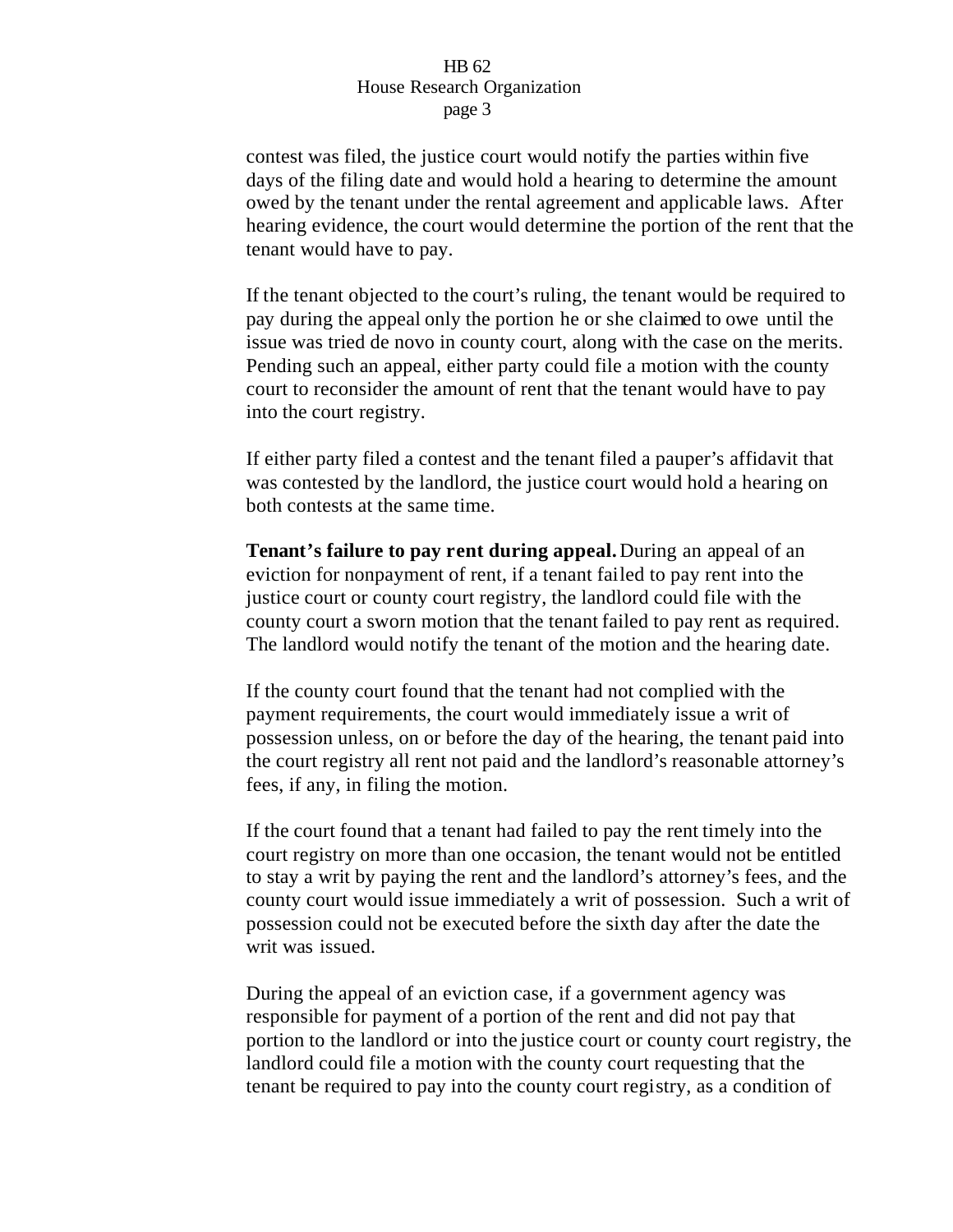contest was filed, the justice court would notify the parties within five days of the filing date and would hold a hearing to determine the amount owed by the tenant under the rental agreement and applicable laws. After hearing evidence, the court would determine the portion of the rent that the tenant would have to pay.

If the tenant objected to the court's ruling, the tenant would be required to pay during the appeal only the portion he or she claimed to owe until the issue was tried de novo in county court, along with the case on the merits. Pending such an appeal, either party could file a motion with the county court to reconsider the amount of rent that the tenant would have to pay into the court registry.

If either party filed a contest and the tenant filed a pauper's affidavit that was contested by the landlord, the justice court would hold a hearing on both contests at the same time.

**Tenant's failure to pay rent during appeal.**During an appeal of an eviction for nonpayment of rent, if a tenant failed to pay rent into the justice court or county court registry, the landlord could file with the county court a sworn motion that the tenant failed to pay rent as required. The landlord would notify the tenant of the motion and the hearing date.

If the county court found that the tenant had not complied with the payment requirements, the court would immediately issue a writ of possession unless, on or before the day of the hearing, the tenant paid into the court registry all rent not paid and the landlord's reasonable attorney's fees, if any, in filing the motion.

If the court found that a tenant had failed to pay the rent timely into the court registry on more than one occasion, the tenant would not be entitled to stay a writ by paying the rent and the landlord's attorney's fees, and the county court would issue immediately a writ of possession. Such a writ of possession could not be executed before the sixth day after the date the writ was issued.

During the appeal of an eviction case, if a government agency was responsible for payment of a portion of the rent and did not pay that portion to the landlord or into the justice court or county court registry, the landlord could file a motion with the county court requesting that the tenant be required to pay into the county court registry, as a condition of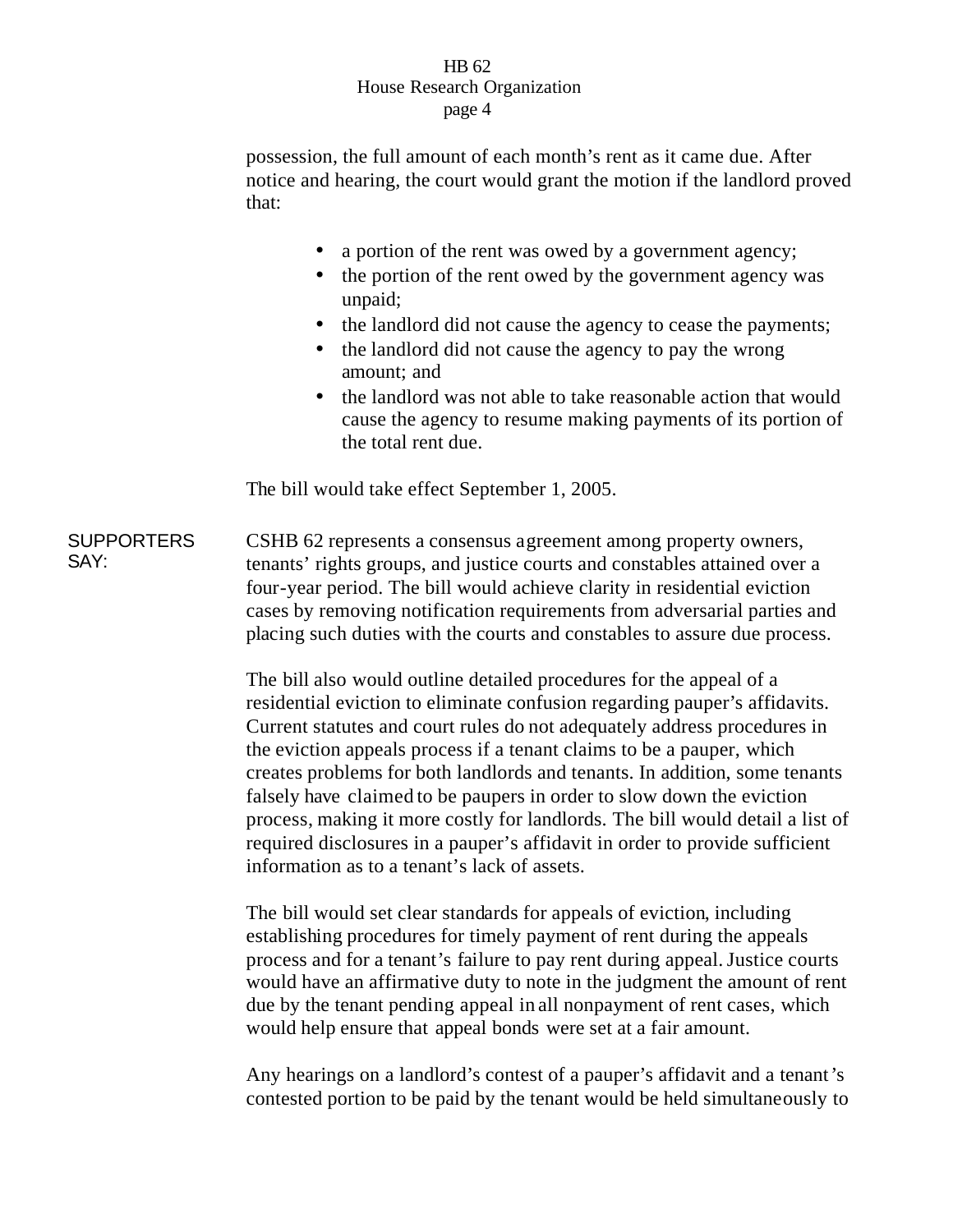possession, the full amount of each month's rent as it came due. After notice and hearing, the court would grant the motion if the landlord proved that:

- a portion of the rent was owed by a government agency;
- the portion of the rent owed by the government agency was unpaid;
- the landlord did not cause the agency to cease the payments;
- the landlord did not cause the agency to pay the wrong amount; and
- the landlord was not able to take reasonable action that would cause the agency to resume making payments of its portion of the total rent due.

The bill would take effect September 1, 2005.

**SUPPORTERS** SAY: CSHB 62 represents a consensus agreement among property owners, tenants' rights groups, and justice courts and constables attained over a four-year period. The bill would achieve clarity in residential eviction cases by removing notification requirements from adversarial parties and placing such duties with the courts and constables to assure due process.

> The bill also would outline detailed procedures for the appeal of a residential eviction to eliminate confusion regarding pauper's affidavits. Current statutes and court rules do not adequately address procedures in the eviction appeals process if a tenant claims to be a pauper, which creates problems for both landlords and tenants. In addition, some tenants falsely have claimed to be paupers in order to slow down the eviction process, making it more costly for landlords. The bill would detail a list of required disclosures in a pauper's affidavit in order to provide sufficient information as to a tenant's lack of assets.

> The bill would set clear standards for appeals of eviction, including establishing procedures for timely payment of rent during the appeals process and for a tenant's failure to pay rent during appeal.Justice courts would have an affirmative duty to note in the judgment the amount of rent due by the tenant pending appeal in all nonpayment of rent cases, which would help ensure that appeal bonds were set at a fair amount.

> Any hearings on a landlord's contest of a pauper's affidavit and a tenant's contested portion to be paid by the tenant would be held simultaneously to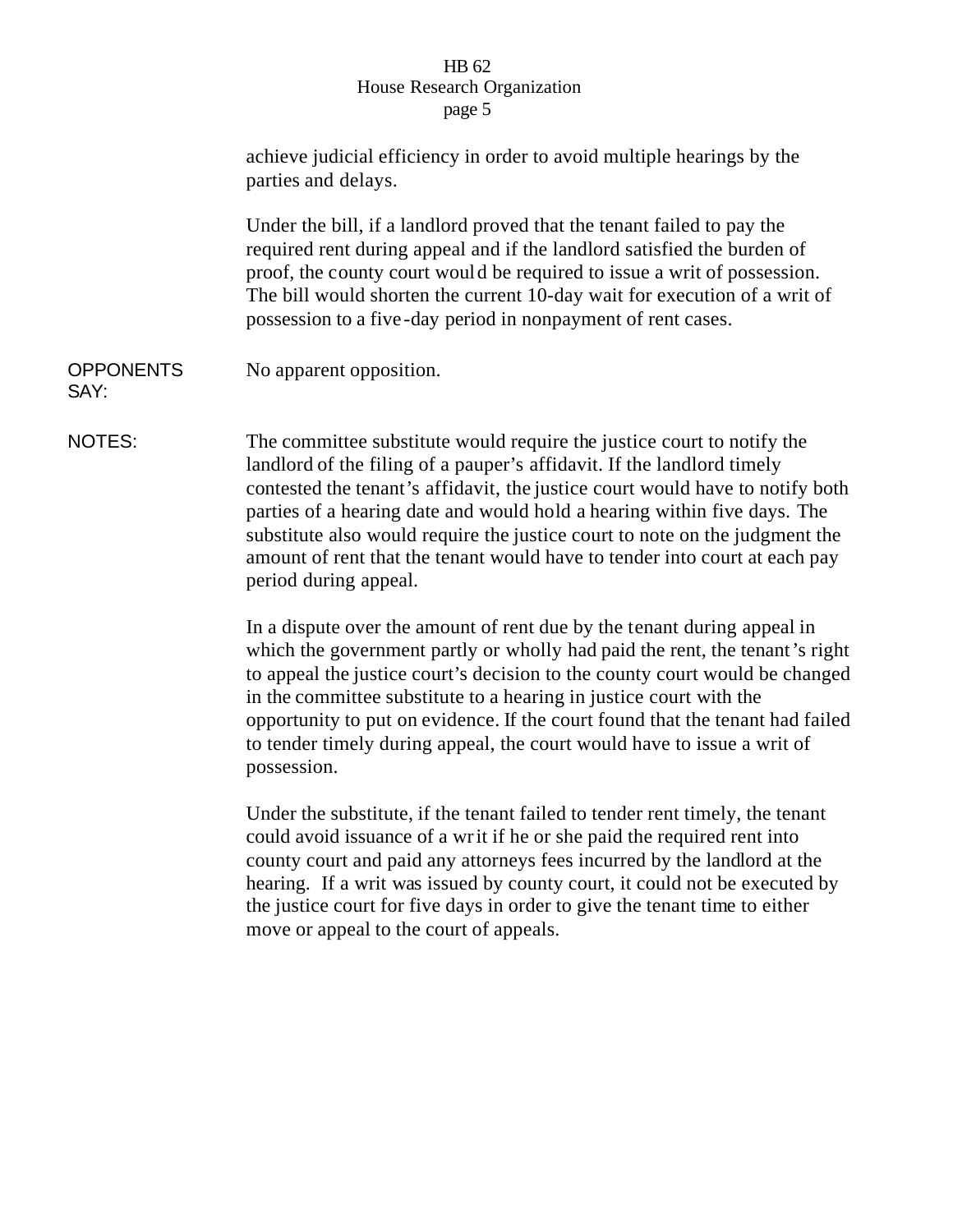|                          | achieve judicial efficiency in order to avoid multiple hearings by the<br>parties and delays.                                                                                                                                                                                                                                                                                                                                                                                                       |  |  |
|--------------------------|-----------------------------------------------------------------------------------------------------------------------------------------------------------------------------------------------------------------------------------------------------------------------------------------------------------------------------------------------------------------------------------------------------------------------------------------------------------------------------------------------------|--|--|
|                          | Under the bill, if a landlord proved that the tenant failed to pay the<br>required rent during appeal and if the landlord satisfied the burden of<br>proof, the county court would be required to issue a writ of possession.<br>The bill would shorten the current 10-day wait for execution of a writ of<br>possession to a five-day period in nonpayment of rent cases.                                                                                                                          |  |  |
| <b>OPPONENTS</b><br>SAY: | No apparent opposition.                                                                                                                                                                                                                                                                                                                                                                                                                                                                             |  |  |
| NOTES:                   | The committee substitute would require the justice court to notify the<br>landlord of the filing of a pauper's affidavit. If the landlord timely<br>contested the tenant's affidavit, the justice court would have to notify both<br>parties of a hearing date and would hold a hearing within five days. The<br>substitute also would require the justice court to note on the judgment the<br>amount of rent that the tenant would have to tender into court at each pay<br>period during appeal. |  |  |
|                          | In a dispute over the amount of rent due by the tenant during appeal in<br>which the government partly or wholly had paid the rent, the tenant's right<br>to appeal the justice court's decision to the county court would be changed<br>in the committee substitute to a hearing in justice court with the<br>opportunity to put on evidence. If the court found that the tenant had failed<br>to tender timely during appeal, the court would have to issue a writ of<br>possession.              |  |  |
|                          | Under the substitute, if the tenant failed to tender rent timely, the tenant<br>could avoid issuance of a writ if he or she paid the required rent into<br>county court and paid any attorneys fees incurred by the landlord at the<br>hearing. If a writ was issued by county court, it could not be executed by<br>the justice court for five days in order to give the tenant time to either<br>move or appeal to the court of appeals.                                                          |  |  |